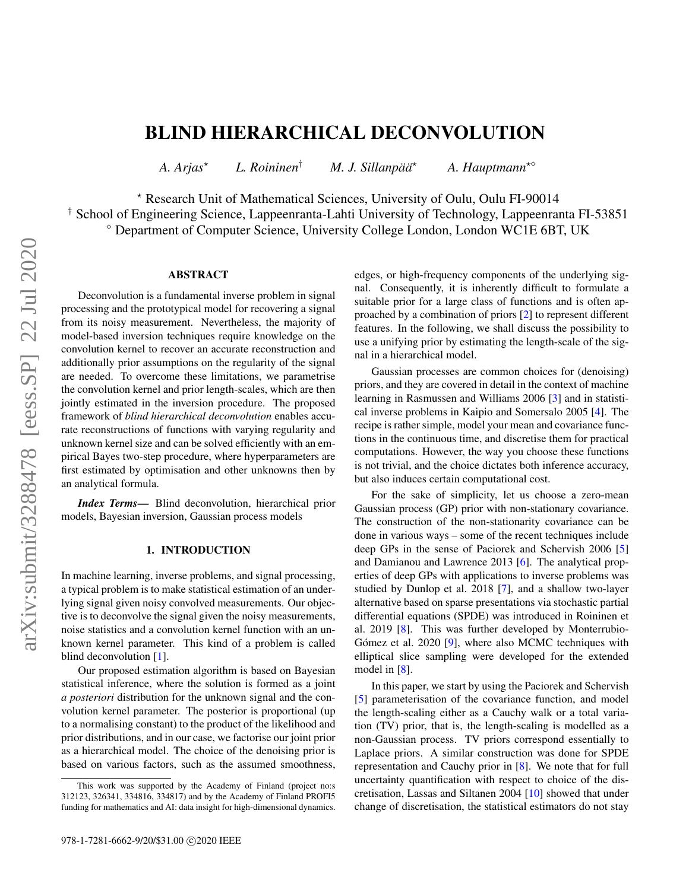# BLIND HIERARCHICAL DECONVOLUTION

*A. Arjas*? *L. Roininen*† *M. J. Sillanpää*? *A. Hauptmann*?

? Research Unit of Mathematical Sciences, University of Oulu, Oulu FI-90014

† School of Engineering Science, Lappeenranta-Lahti University of Technology, Lappeenranta FI-53851

Department of Computer Science, University College London, London WC1E 6BT, UK

## ABSTRACT

Deconvolution is a fundamental inverse problem in signal processing and the prototypical model for recovering a signal from its noisy measurement. Nevertheless, the majority of model-based inversion techniques require knowledge on the convolution kernel to recover an accurate reconstruction and additionally prior assumptions on the regularity of the signal are needed. To overcome these limitations, we parametrise the convolution kernel and prior length-scales, which are then jointly estimated in the inversion procedure. The proposed framework of *blind hierarchical deconvolution* enables accurate reconstructions of functions with varying regularity and unknown kernel size and can be solved efficiently with an empirical Bayes two-step procedure, where hyperparameters are first estimated by optimisation and other unknowns then by an analytical formula.

*Index Terms*— Blind deconvolution, hierarchical prior models, Bayesian inversion, Gaussian process models

## 1. INTRODUCTION

In machine learning, inverse problems, and signal processing, a typical problem is to make statistical estimation of an underlying signal given noisy convolved measurements. Our objective is to deconvolve the signal given the noisy measurements, noise statistics and a convolution kernel function with an unknown kernel parameter. This kind of a problem is called blind deconvolution [\[1\]](#page-5-0).

Our proposed estimation algorithm is based on Bayesian statistical inference, where the solution is formed as a joint *a posteriori* distribution for the unknown signal and the convolution kernel parameter. The posterior is proportional (up to a normalising constant) to the product of the likelihood and prior distributions, and in our case, we factorise our joint prior as a hierarchical model. The choice of the denoising prior is based on various factors, such as the assumed smoothness,

edges, or high-frequency components of the underlying signal. Consequently, it is inherently difficult to formulate a suitable prior for a large class of functions and is often approached by a combination of priors [\[2\]](#page-5-1) to represent different features. In the following, we shall discuss the possibility to use a unifying prior by estimating the length-scale of the signal in a hierarchical model.

Gaussian processes are common choices for (denoising) priors, and they are covered in detail in the context of machine learning in Rasmussen and Williams 2006 [\[3\]](#page-5-2) and in statistical inverse problems in Kaipio and Somersalo 2005 [\[4\]](#page-5-3). The recipe is rather simple, model your mean and covariance functions in the continuous time, and discretise them for practical computations. However, the way you choose these functions is not trivial, and the choice dictates both inference accuracy, but also induces certain computational cost.

For the sake of simplicity, let us choose a zero-mean Gaussian process (GP) prior with non-stationary covariance. The construction of the non-stationarity covariance can be done in various ways – some of the recent techniques include deep GPs in the sense of Paciorek and Schervish 2006 [\[5\]](#page-5-4) and Damianou and Lawrence 2013 [\[6\]](#page-5-5). The analytical properties of deep GPs with applications to inverse problems was studied by Dunlop et al. 2018 [\[7\]](#page-5-6), and a shallow two-layer alternative based on sparse presentations via stochastic partial differential equations (SPDE) was introduced in Roininen et al. 2019 [\[8\]](#page-5-7). This was further developed by Monterrubio-Gómez et al. 2020 [\[9\]](#page-5-8), where also MCMC techniques with elliptical slice sampling were developed for the extended model in [\[8\]](#page-5-7).

In this paper, we start by using the Paciorek and Schervish [\[5\]](#page-5-4) parameterisation of the covariance function, and model the length-scaling either as a Cauchy walk or a total variation (TV) prior, that is, the length-scaling is modelled as a non-Gaussian process. TV priors correspond essentially to Laplace priors. A similar construction was done for SPDE representation and Cauchy prior in [\[8\]](#page-5-7). We note that for full uncertainty quantification with respect to choice of the discretisation, Lassas and Siltanen 2004 [\[10\]](#page-5-9) showed that under change of discretisation, the statistical estimators do not stay

This work was supported by the Academy of Finland (project no:s 312123, 326341, 334816, 334817) and by the Academy of Finland PROFI5 funding for mathematics and AI: data insight for high-dimensional dynamics.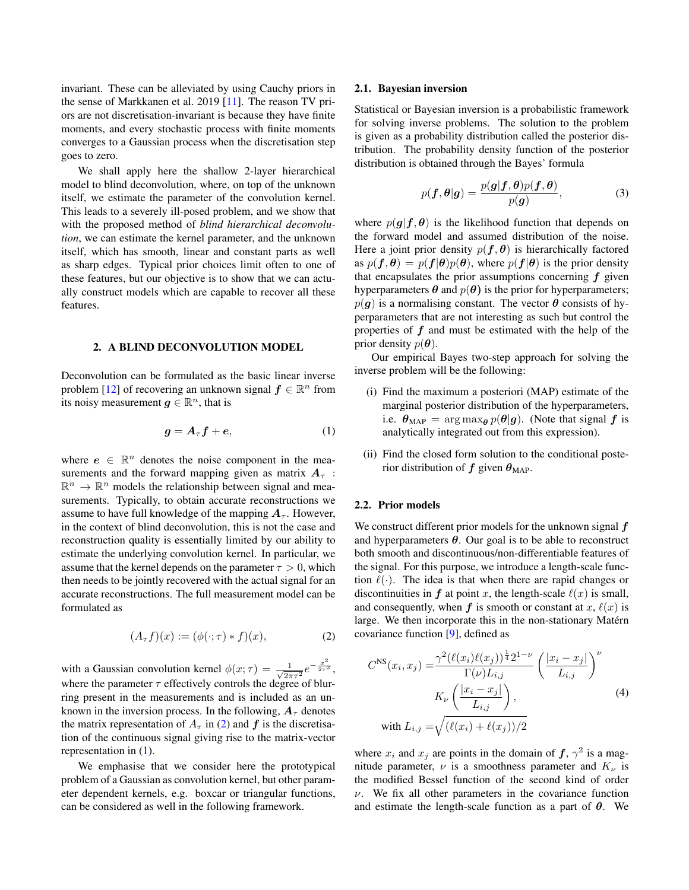invariant. These can be alleviated by using Cauchy priors in the sense of Markkanen et al. 2019 [\[11\]](#page-5-10). The reason TV priors are not discretisation-invariant is because they have finite moments, and every stochastic process with finite moments converges to a Gaussian process when the discretisation step goes to zero.

We shall apply here the shallow 2-layer hierarchical model to blind deconvolution, where, on top of the unknown itself, we estimate the parameter of the convolution kernel. This leads to a severely ill-posed problem, and we show that with the proposed method of *blind hierarchical deconvolution*, we can estimate the kernel parameter, and the unknown itself, which has smooth, linear and constant parts as well as sharp edges. Typical prior choices limit often to one of these features, but our objective is to show that we can actually construct models which are capable to recover all these features.

#### 2. A BLIND DECONVOLUTION MODEL

Deconvolution can be formulated as the basic linear inverse problem [\[12\]](#page-5-11) of recovering an unknown signal  $f \in \mathbb{R}^n$  from its noisy measurement  $g \in \mathbb{R}^n$ , that is

<span id="page-1-1"></span>
$$
g = A_{\tau} f + e, \tag{1}
$$

where  $e \in \mathbb{R}^n$  denotes the noise component in the measurements and the forward mapping given as matrix  $A_{\tau}$ :  $\mathbb{R}^n \to \mathbb{R}^n$  models the relationship between signal and measurements. Typically, to obtain accurate reconstructions we assume to have full knowledge of the mapping  $A_\tau$ . However, in the context of blind deconvolution, this is not the case and reconstruction quality is essentially limited by our ability to estimate the underlying convolution kernel. In particular, we assume that the kernel depends on the parameter  $\tau > 0$ , which then needs to be jointly recovered with the actual signal for an accurate reconstructions. The full measurement model can be formulated as

<span id="page-1-0"></span>
$$
(A_{\tau}f)(x) := (\phi(\cdot;\tau) * f)(x),\tag{2}
$$

with a Gaussian convolution kernel  $\phi(x;\tau) = \frac{1}{\sqrt{2\pi}}$  $\frac{1}{2\pi\tau^2}e^{-\frac{x^2}{2\tau^2}},$ where the parameter  $\tau$  effectively controls the degree of blurring present in the measurements and is included as an unknown in the inversion process. In the following,  $A_\tau$  denotes the matrix representation of  $A_\tau$  in [\(2\)](#page-1-0) and f is the discretisation of the continuous signal giving rise to the matrix-vector representation in [\(1\)](#page-1-1).

We emphasise that we consider here the prototypical problem of a Gaussian as convolution kernel, but other parameter dependent kernels, e.g. boxcar or triangular functions, can be considered as well in the following framework.

#### 2.1. Bayesian inversion

Statistical or Bayesian inversion is a probabilistic framework for solving inverse problems. The solution to the problem is given as a probability distribution called the posterior distribution. The probability density function of the posterior distribution is obtained through the Bayes' formula

$$
p(\boldsymbol{f}, \boldsymbol{\theta}|\boldsymbol{g}) = \frac{p(\boldsymbol{g}|\boldsymbol{f}, \boldsymbol{\theta})p(\boldsymbol{f}, \boldsymbol{\theta})}{p(\boldsymbol{g})},
$$
(3)

where  $p(g|f, \theta)$  is the likelihood function that depends on the forward model and assumed distribution of the noise. Here a joint prior density  $p(f, \theta)$  is hierarchically factored as  $p(f, \theta) = p(f|\theta)p(\theta)$ , where  $p(f|\theta)$  is the prior density that encapsulates the prior assumptions concerning  $f$  given hyperparameters  $\theta$  and  $p(\theta)$  is the prior for hyperparameters;  $p(q)$  is a normalising constant. The vector  $\theta$  consists of hyperparameters that are not interesting as such but control the properties of  $f$  and must be estimated with the help of the prior density  $p(\boldsymbol{\theta})$ .

Our empirical Bayes two-step approach for solving the inverse problem will be the following:

- (i) Find the maximum a posteriori (MAP) estimate of the marginal posterior distribution of the hyperparameters, i.e.  $\theta_{MAP} = \arg \max_{\theta} p(\theta | \theta)$ . (Note that signal f is analytically integrated out from this expression).
- (ii) Find the closed form solution to the conditional posterior distribution of f given  $\theta_{MAP}$ .

#### 2.2. Prior models

We construct different prior models for the unknown signal  $f$ and hyperparameters  $\theta$ . Our goal is to be able to reconstruct both smooth and discontinuous/non-differentiable features of the signal. For this purpose, we introduce a length-scale function  $\ell(\cdot)$ . The idea is that when there are rapid changes or discontinuities in  $f$  at point x, the length-scale  $\ell(x)$  is small, and consequently, when f is smooth or constant at x,  $\ell(x)$  is large. We then incorporate this in the non-stationary Matérn covariance function [\[9\]](#page-5-8), defined as

<span id="page-1-2"></span>
$$
C^{NS}(x_i, x_j) = \frac{\gamma^2 (\ell(x_i) \ell(x_j))^{\frac{1}{4}} 2^{1-\nu}}{\Gamma(\nu) L_{i,j}} \left(\frac{|x_i - x_j|}{L_{i,j}}\right)^{\nu}
$$
  
\n
$$
K_{\nu} \left(\frac{|x_i - x_j|}{L_{i,j}}\right),
$$
  
\nwith  $L_{i,j} = \sqrt{(\ell(x_i) + \ell(x_j))/2}$  (4)

where  $x_i$  and  $x_j$  are points in the domain of  $f, \gamma^2$  is a magnitude parameter,  $\nu$  is a smoothness parameter and  $K_{\nu}$  is the modified Bessel function of the second kind of order  $\nu$ . We fix all other parameters in the covariance function and estimate the length-scale function as a part of  $\theta$ . We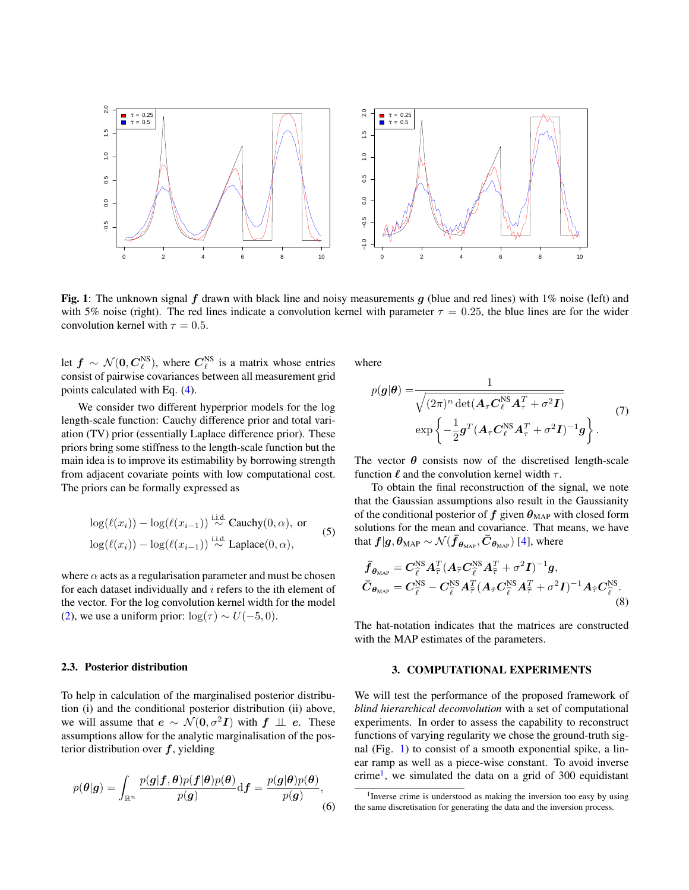<span id="page-2-0"></span>

Fig. 1: The unknown signal f drawn with black line and noisy measurements q (blue and red lines) with  $1\%$  noise (left) and with 5% noise (right). The red lines indicate a convolution kernel with parameter  $\tau = 0.25$ , the blue lines are for the wider convolution kernel with  $\tau = 0.5$ .

let  $f \sim \mathcal{N}(0, C_{\ell}^{\text{NS}})$ , where  $C_{\ell}^{\text{NS}}$  is a matrix whose entries consist of pairwise covariances between all measurement grid points calculated with Eq. [\(4\)](#page-1-2).

We consider two different hyperprior models for the log length-scale function: Cauchy difference prior and total variation (TV) prior (essentially Laplace difference prior). These priors bring some stiffness to the length-scale function but the main idea is to improve its estimability by borrowing strength from adjacent covariate points with low computational cost. The priors can be formally expressed as

$$
\log(\ell(x_i)) - \log(\ell(x_{i-1})) \stackrel{\text{i.i.d.}}{\sim} \text{Cauchy}(0, \alpha), \text{ or}
$$
  

$$
\log(\ell(x_i)) - \log(\ell(x_{i-1})) \stackrel{\text{i.i.d.}}{\sim} \text{Laplace}(0, \alpha),
$$
 (5)

where  $\alpha$  acts as a regularisation parameter and must be chosen for each dataset individually and  $i$  refers to the ith element of the vector. For the log convolution kernel width for the model [\(2\)](#page-1-0), we use a uniform prior:  $\log(\tau) \sim U(-5, 0)$ .

### 2.3. Posterior distribution

To help in calculation of the marginalised posterior distribution (i) and the conditional posterior distribution (ii) above, we will assume that  $e \sim \mathcal{N}(0, \sigma^2 I)$  with  $f \perp\!\!\!\perp e$ . These assumptions allow for the analytic marginalisation of the posterior distribution over  $f$ , yielding

$$
p(\theta|\mathbf{g}) = \int_{\mathbb{R}^n} \frac{p(\mathbf{g}|\mathbf{f}, \theta) p(\mathbf{f}|\theta) p(\theta)}{p(\mathbf{g})} \mathrm{d}\mathbf{f} = \frac{p(\mathbf{g}|\theta) p(\theta)}{p(\mathbf{g})},\tag{6}
$$

where

$$
p(\mathbf{g}|\boldsymbol{\theta}) = \frac{1}{\sqrt{(2\pi)^n \det(\mathbf{A}_{\tau} \mathbf{C}_{\ell}^{\text{NS}} \mathbf{A}_{\tau}^T + \sigma^2 \mathbf{I})}}
$$
  
\n
$$
\exp\left\{-\frac{1}{2}\mathbf{g}^T (\mathbf{A}_{\tau} \mathbf{C}_{\ell}^{\text{NS}} \mathbf{A}_{\tau}^T + \sigma^2 \mathbf{I})^{-1} \mathbf{g}\right\}.
$$
 (7)

The vector  $\theta$  consists now of the discretised length-scale function  $\ell$  and the convolution kernel width  $\tau$ .

<span id="page-2-3"></span>To obtain the final reconstruction of the signal, we note that the Gaussian assumptions also result in the Gaussianity of the conditional posterior of f given  $\theta_{MAP}$  with closed form solutions for the mean and covariance. That means, we have that  $f|g, \theta_{\text{MAP}} \sim \mathcal{N}(\bar{f}_{\theta_{\text{MAP}}}, \bar{C}_{\theta_{\text{MAP}}})$  [\[4\]](#page-5-3), where

<span id="page-2-2"></span>
$$
\begin{split}\n\bar{f}_{\theta_{\text{MAP}}} &= C_{\hat{\ell}}^{\text{NS}} A_{\hat{\tau}}^T (A_{\hat{\tau}} C_{\hat{\ell}}^{\text{NS}} A_{\hat{\tau}}^T + \sigma^2 I)^{-1} g, \\
\bar{C}_{\theta_{\text{MAP}}} &= C_{\hat{\ell}}^{\text{NS}} - C_{\hat{\ell}}^{\text{NS}} A_{\hat{\tau}}^T (A_{\hat{\tau}} C_{\hat{\ell}}^{\text{NS}} A_{\hat{\tau}}^T + \sigma^2 I)^{-1} A_{\hat{\tau}} C_{\hat{\ell}}^{\text{NS}}.\n\end{split} \tag{8}
$$

The hat-notation indicates that the matrices are constructed with the MAP estimates of the parameters.

## 3. COMPUTATIONAL EXPERIMENTS

We will test the performance of the proposed framework of *blind hierarchical deconvolution* with a set of computational experiments. In order to assess the capability to reconstruct functions of varying regularity we chose the ground-truth signal (Fig. [1\)](#page-2-0) to consist of a smooth exponential spike, a linear ramp as well as a piece-wise constant. To avoid inverse crime<sup>[1](#page-2-1)</sup>, we simulated the data on a grid of 300 equidistant

<span id="page-2-1"></span><sup>&</sup>lt;sup>1</sup> Inverse crime is understood as making the inversion too easy by using the same discretisation for generating the data and the inversion process.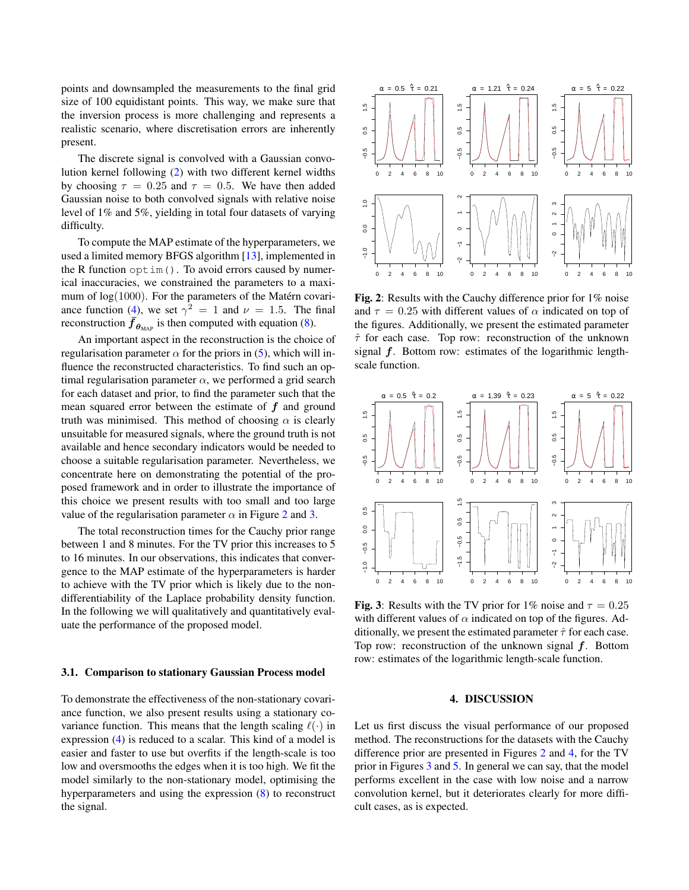points and downsampled the measurements to the final grid size of 100 equidistant points. This way, we make sure that the inversion process is more challenging and represents a realistic scenario, where discretisation errors are inherently present.

The discrete signal is convolved with a Gaussian convolution kernel following [\(2\)](#page-1-0) with two different kernel widths by choosing  $\tau = 0.25$  and  $\tau = 0.5$ . We have then added Gaussian noise to both convolved signals with relative noise level of 1% and 5%, yielding in total four datasets of varying difficulty.

To compute the MAP estimate of the hyperparameters, we used a limited memory BFGS algorithm [\[13\]](#page-5-12), implemented in the R function  $\phi$ tim(). To avoid errors caused by numerical inaccuracies, we constrained the parameters to a maximum of  $log(1000)$ . For the parameters of the Matérn covari-ance function [\(4\)](#page-1-2), we set  $\gamma^2 = 1$  and  $\nu = 1.5$ . The final reconstruction  $\bar{f}_{\theta_{MAP}}$  is then computed with equation [\(8\)](#page-2-2).

An important aspect in the reconstruction is the choice of regularisation parameter  $\alpha$  for the priors in [\(5\)](#page-2-3), which will influence the reconstructed characteristics. To find such an optimal regularisation parameter  $\alpha$ , we performed a grid search for each dataset and prior, to find the parameter such that the mean squared error between the estimate of  $f$  and ground truth was minimised. This method of choosing  $\alpha$  is clearly unsuitable for measured signals, where the ground truth is not available and hence secondary indicators would be needed to choose a suitable regularisation parameter. Nevertheless, we concentrate here on demonstrating the potential of the proposed framework and in order to illustrate the importance of this choice we present results with too small and too large value of the regularisation parameter  $\alpha$  in Figure [2](#page-3-0) and [3.](#page-3-1)

The total reconstruction times for the Cauchy prior range between 1 and 8 minutes. For the TV prior this increases to 5 to 16 minutes. In our observations, this indicates that convergence to the MAP estimate of the hyperparameters is harder to achieve with the TV prior which is likely due to the nondifferentiability of the Laplace probability density function. In the following we will qualitatively and quantitatively evaluate the performance of the proposed model.

#### 3.1. Comparison to stationary Gaussian Process model

To demonstrate the effectiveness of the non-stationary covariance function, we also present results using a stationary covariance function. This means that the length scaling  $\ell(\cdot)$  in expression [\(4\)](#page-1-2) is reduced to a scalar. This kind of a model is easier and faster to use but overfits if the length-scale is too low and oversmooths the edges when it is too high. We fit the model similarly to the non-stationary model, optimising the hyperparameters and using the expression [\(8\)](#page-2-2) to reconstruct the signal.

<span id="page-3-0"></span>

Fig. 2: Results with the Cauchy difference prior for 1% noise and  $\tau = 0.25$  with different values of  $\alpha$  indicated on top of the figures. Additionally, we present the estimated parameter  $\hat{\tau}$  for each case. Top row: reconstruction of the unknown signal  $f$ . Bottom row: estimates of the logarithmic lengthscale function.

<span id="page-3-1"></span>

Fig. 3: Results with the TV prior for 1% noise and  $\tau = 0.25$ with different values of  $\alpha$  indicated on top of the figures. Additionally, we present the estimated parameter  $\hat{\tau}$  for each case. Top row: reconstruction of the unknown signal  $f$ . Bottom row: estimates of the logarithmic length-scale function.

## 4. DISCUSSION

Let us first discuss the visual performance of our proposed method. The reconstructions for the datasets with the Cauchy difference prior are presented in Figures [2](#page-3-0) and [4,](#page-4-0) for the TV prior in Figures [3](#page-3-1) and [5.](#page-5-13) In general we can say, that the model performs excellent in the case with low noise and a narrow convolution kernel, but it deteriorates clearly for more difficult cases, as is expected.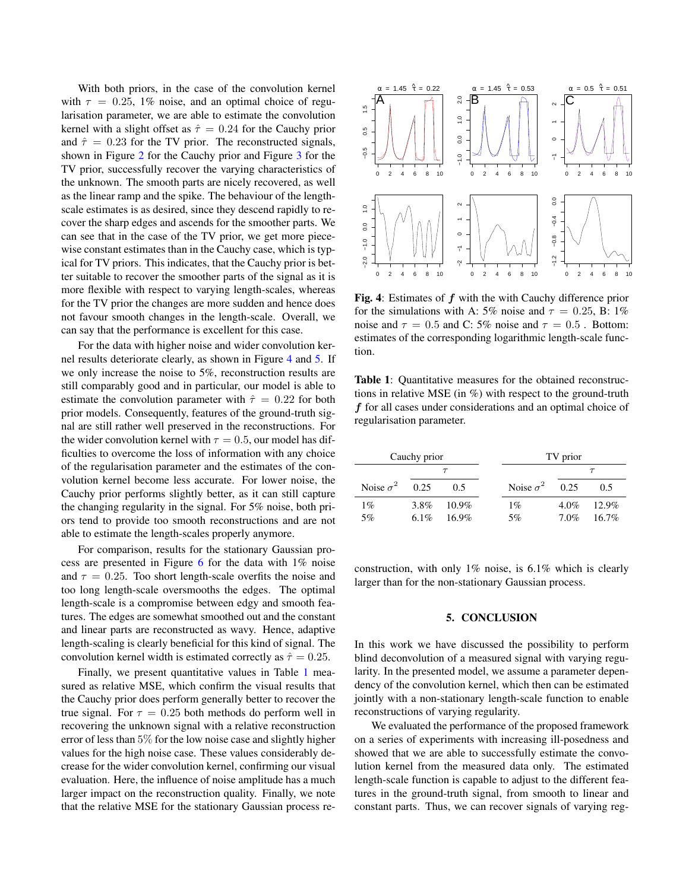With both priors, in the case of the convolution kernel with  $\tau = 0.25$ , 1% noise, and an optimal choice of regularisation parameter, we are able to estimate the convolution kernel with a slight offset as  $\hat{\tau} = 0.24$  for the Cauchy prior and  $\hat{\tau} = 0.23$  for the TV prior. The reconstructed signals, shown in Figure [2](#page-3-0) for the Cauchy prior and Figure [3](#page-3-1) for the TV prior, successfully recover the varying characteristics of the unknown. The smooth parts are nicely recovered, as well as the linear ramp and the spike. The behaviour of the lengthscale estimates is as desired, since they descend rapidly to recover the sharp edges and ascends for the smoother parts. We can see that in the case of the TV prior, we get more piecewise constant estimates than in the Cauchy case, which is typical for TV priors. This indicates, that the Cauchy prior is better suitable to recover the smoother parts of the signal as it is more flexible with respect to varying length-scales, whereas for the TV prior the changes are more sudden and hence does not favour smooth changes in the length-scale. Overall, we can say that the performance is excellent for this case.

For the data with higher noise and wider convolution kernel results deteriorate clearly, as shown in Figure [4](#page-4-0) and [5.](#page-5-13) If we only increase the noise to 5%, reconstruction results are still comparably good and in particular, our model is able to estimate the convolution parameter with  $\hat{\tau} = 0.22$  for both prior models. Consequently, features of the ground-truth signal are still rather well preserved in the reconstructions. For the wider convolution kernel with  $\tau = 0.5$ , our model has difficulties to overcome the loss of information with any choice of the regularisation parameter and the estimates of the convolution kernel become less accurate. For lower noise, the Cauchy prior performs slightly better, as it can still capture the changing regularity in the signal. For 5% noise, both priors tend to provide too smooth reconstructions and are not able to estimate the length-scales properly anymore.

For comparison, results for the stationary Gaussian process are presented in Figure [6](#page-5-14) for the data with 1% noise and  $\tau = 0.25$ . Too short length-scale overfits the noise and too long length-scale oversmooths the edges. The optimal length-scale is a compromise between edgy and smooth features. The edges are somewhat smoothed out and the constant and linear parts are reconstructed as wavy. Hence, adaptive length-scaling is clearly beneficial for this kind of signal. The convolution kernel width is estimated correctly as  $\hat{\tau} = 0.25$ .

Finally, we present quantitative values in Table [1](#page-4-1) measured as relative MSE, which confirm the visual results that the Cauchy prior does perform generally better to recover the true signal. For  $\tau = 0.25$  both methods do perform well in recovering the unknown signal with a relative reconstruction error of less than 5% for the low noise case and slightly higher values for the high noise case. These values considerably decrease for the wider convolution kernel, confirming our visual evaluation. Here, the influence of noise amplitude has a much larger impact on the reconstruction quality. Finally, we note that the relative MSE for the stationary Gaussian process re-

<span id="page-4-0"></span>

Fig. 4: Estimates of f with the with Cauchy difference prior for the simulations with A: 5% noise and  $\tau = 0.25$ , B: 1% noise and  $\tau = 0.5$  and C: 5% noise and  $\tau = 0.5$ . Bottom: estimates of the corresponding logarithmic length-scale function.

<span id="page-4-1"></span>Table 1: Quantitative measures for the obtained reconstructions in relative MSE (in %) with respect to the ground-truth f for all cases under considerations and an optimal choice of regularisation parameter.

| Cauchy prior     |      |          | TV prior              |         |          |  |
|------------------|------|----------|-----------------------|---------|----------|--|
|                  |      |          |                       |         |          |  |
| Noise $\sigma^2$ | 0.25 | 0.5      | Noise $\sigma^2$ 0.25 |         | 0.5      |  |
| $1\%$            | 3.8% | $10.9\%$ | $1\%$                 | $4.0\%$ | 12.9%    |  |
| 5%               | 6.1% | $16.9\%$ | 5%                    | $7.0\%$ | $16.7\%$ |  |

construction, with only 1% noise, is 6.1% which is clearly larger than for the non-stationary Gaussian process.

## 5. CONCLUSION

In this work we have discussed the possibility to perform blind deconvolution of a measured signal with varying regularity. In the presented model, we assume a parameter dependency of the convolution kernel, which then can be estimated jointly with a non-stationary length-scale function to enable reconstructions of varying regularity.

We evaluated the performance of the proposed framework on a series of experiments with increasing ill-posedness and showed that we are able to successfully estimate the convolution kernel from the measured data only. The estimated length-scale function is capable to adjust to the different features in the ground-truth signal, from smooth to linear and constant parts. Thus, we can recover signals of varying reg-